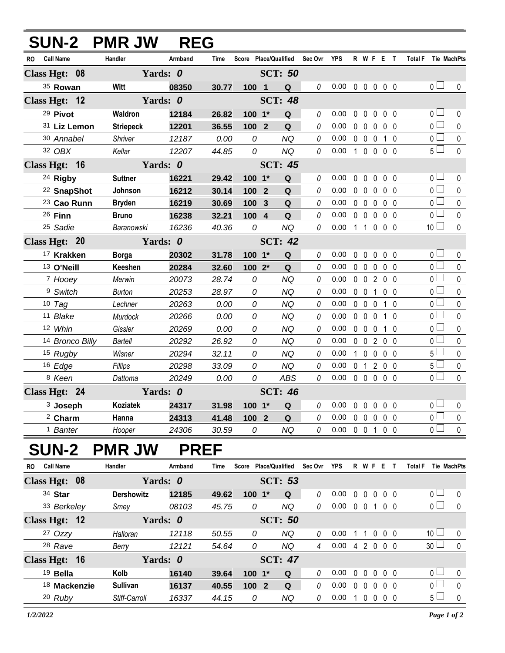|                               | SUN-2 PMR JW      | <b>REG</b>  |             |                       |                |                |             |                            |              |                   |                |                   |           |                     |                       |             |
|-------------------------------|-------------------|-------------|-------------|-----------------------|----------------|----------------|-------------|----------------------------|--------------|-------------------|----------------|-------------------|-----------|---------------------|-----------------------|-------------|
| <b>Call Name</b><br>RO        | Handler           | Armband     | <b>Time</b> | Score Place/Qualified |                |                | Sec Ovr     | <b>YPS</b>                 |              |                   | R W F E T      |                   |           | Total F Tie MachPts |                       |             |
| Class Hgt: 08                 |                   | Yards: 0    |             |                       |                | <b>SCT: 50</b> |             |                            |              |                   |                |                   |           |                     |                       |             |
| 35 Rowan                      | Witt              | 08350       | 30.77       | 1001                  |                | Q              | 0           | 0.00                       |              |                   | 00000          |                   |           |                     | 0 <sub>l</sub>        | $\pmb{0}$   |
| Class Hgt: 12                 |                   | Yards: 0    |             |                       |                | <b>SCT: 48</b> |             |                            |              |                   |                |                   |           |                     |                       |             |
| 29 Pivot                      | Waldron           | 12184       | 26.82       | 100 1*                |                | Q              | 0           | 0.00                       |              | $0\quad 0$        | $\mathbf 0$    | 0 <sub>0</sub>    |           |                     | 0 <sub>0</sub>        | 0           |
| 31 Liz Lemon                  | <b>Striepeck</b>  | 12201       | 36.55       | 100 2                 |                | Q              | 0           | 0.00                       |              | $0\quad 0$        | $\mathbf 0$    | 0 <sub>0</sub>    |           |                     | $\overline{0}$        | $\pmb{0}$   |
| 30 Annabel                    | Shriver           | 12187       | 0.00        | 0                     |                | <b>NQ</b>      | 0           | 0.00                       |              | $0\quad 0\quad 0$ |                |                   | 1 0       |                     | $\overline{0}$        | $\mathbf 0$ |
| 32 OBX                        | Kellar            | 12207       | 44.85       | 0                     |                | <b>NQ</b>      | 0           | 0.00                       |              | $100$             |                | 0 <sub>0</sub>    |           |                     | $5\Box$               | $\pmb{0}$   |
| Class Hgt: 16                 |                   | Yards: 0    |             |                       |                | <b>SCT: 45</b> |             |                            |              |                   |                |                   |           |                     |                       |             |
| 24 Rigby                      | <b>Suttner</b>    | 16221       | 29.42       | 100 1*                |                | Q              | 0           | 0.00                       | $\mathbf{0}$ | $\mathbf 0$       | $\pmb{0}$      | 0 <sub>0</sub>    |           |                     | $\overline{0}$ $\Box$ | 0           |
| <sup>22</sup> SnapShot        | Johnson           | 16212       | 30.14       | 100                   | $\overline{2}$ | Q              | 0           | 0.00                       |              | $0\quad 0$        | $\pmb{0}$      | 0 <sub>0</sub>    |           |                     | $\overline{0}$        | $\pmb{0}$   |
| 23 Cao Runn                   | <b>Bryden</b>     | 16219       | 30.69       | 100                   | $\mathbf{3}$   | $\mathbf Q$    | 0           | 0.00                       |              | $0\quad 0$        | $\mathbf 0$    | 0 <sub>0</sub>    |           |                     | $\overline{0}$        | $\mathbf 0$ |
| 26 <b>Finn</b>                | <b>Bruno</b>      | 16238       | 32.21       | 100 4                 |                | Q              | 0           | 0.00                       |              | $0\quad 0$        | $\mathbf 0$    | 0 <sub>0</sub>    |           |                     | $\overline{0}$        | $\pmb{0}$   |
| <sup>25</sup> Sadie           | Baranowski        | 16236       | 40.36       | 0                     |                | <b>NQ</b>      | 0           | 0.00                       |              | $1\quad1$         | $\mathbf 0$    | 0 <sub>0</sub>    |           |                     | 10 $\Box$             | $\mathbf 0$ |
| Class Hgt: 20                 |                   | Yards: 0    |             |                       |                | <b>SCT: 42</b> |             |                            |              |                   |                |                   |           |                     |                       |             |
| <sup>17</sup> Krakken         | <b>Borga</b>      | 20302       | 31.78       | 100 1*                |                | $\mathbf Q$    | 0           | 0.00                       | $\mathbf 0$  | $\mathbf 0$       | $\pmb{0}$      | 0 <sub>0</sub>    |           |                     | 0 <sub>0</sub>        | $\mathbf 0$ |
| <sup>13</sup> O'Neill         | Keeshen           | 20284       | 32.60       | 100 2*                |                | Q              | 0           | 0.00                       |              | 0 <sub>0</sub>    | $\mathbf 0$    | 0 <sub>0</sub>    |           |                     | $_0$ $\square$        | $\mathbf 0$ |
| 7 Hooey                       | Merwin            | 20073       | 28.74       | 0                     |                | <b>NQ</b>      | 0           | 0.00                       |              | $0\quad 0$        | $\overline{2}$ | 0 <sub>0</sub>    |           |                     | 0 <sub>1</sub>        | $\pmb{0}$   |
| <sup>9</sup> Switch           | <b>Burton</b>     | 20253       | 28.97       | 0                     |                | <b>NQ</b>      | 0           | 0.00                       |              | $0\quad 0$        | $\overline{1}$ | 0 <sub>0</sub>    |           |                     | $_0$ $\square$        | $\pmb{0}$   |
| $10$ Tag                      | Lechner           | 20263       | 0.00        | 0                     |                | <b>NQ</b>      | 0           | 0.00                       |              | $0\quad 0$        | $\mathbf 0$    |                   | $1\quad0$ |                     | $\overline{0}$        | $\pmb{0}$   |
| 11 Blake                      | Murdock           | 20266       | 0.00        | 0                     |                | <b>NQ</b>      | 0           | 0.00                       |              | 0 <sub>0</sub>    | $\mathbf 0$    |                   | $1\quad0$ |                     | $_0$ $\Box$           | $\pmb{0}$   |
| 12 Whin                       | Gissler           | 20269       | 0.00        | 0                     |                | <b>NQ</b>      | 0           | 0.00                       | $\mathbf 0$  | $\overline{0}$    | 0              |                   | $1\quad0$ |                     | $\overline{0}$        | $\pmb{0}$   |
| 14 Bronco Billy               | <b>Bartell</b>    | 20292       | 26.92       | 0                     |                | <b>NQ</b>      | 0           | 0.00                       |              | $0\quad 0$        | $\overline{2}$ | 0 <sub>0</sub>    |           |                     | $_0$ $\Box$           | $\mathbf 0$ |
| 15 Rugby                      | Wisner            | 20294       | 32.11       | 0                     |                | <b>NQ</b>      | 0           | 0.00                       |              | $1\quad 0$        | $\pmb{0}$      | 0 <sub>0</sub>    |           |                     | 5 l                   | $\pmb{0}$   |
| 16 Edge                       | Fillips           | 20298       | 33.09       | 0                     |                | <b>NQ</b>      | 0           | 0.00                       | $\mathbf{0}$ | $\overline{1}$    | $\overline{2}$ | 0 <sub>0</sub>    |           |                     | $5\Box$               | $\pmb{0}$   |
| 8 Keen                        | Dattoma           | 20249       | 0.00        | 0                     |                | <b>ABS</b>     | 0           | 0.00                       |              | $0\quad 0$        | $\mathbf 0$    | 0 <sub>0</sub>    |           |                     | $\overline{0}$        | $\pmb{0}$   |
| Class Hgt: 24                 |                   | Yards: 0    |             |                       |                | <b>SCT: 46</b> |             |                            |              |                   |                |                   |           |                     |                       |             |
| <sup>3</sup> Joseph           | Koziatek          | 24317 31.98 |             | $100 - 1*$            |                | Q              |             | $0$ 0.00 0 0 0 0 0         |              |                   |                |                   |           |                     | $\overline{0}$        | 0           |
| <sup>2</sup> Charm            | Hanna             | 24313       | 41.48       | 100 2                 |                | $\mathbf Q$    | 0           | 0.00                       |              |                   | 00000          |                   |           |                     | $\overline{0}$        | $\pmb{0}$   |
| <sup>1</sup> Banter           | Hooper            | 24306       | 30.59       | 0                     |                | NQ             | 0           | $0.00 \t0 \t0 \t1 \t0 \t0$ |              |                   |                |                   |           |                     | $\overline{0}$        | $\mathbf 0$ |
| <b>SUN-2</b>                  | <b>PMR JW</b>     | <b>PREF</b> |             |                       |                |                |             |                            |              |                   |                |                   |           |                     |                       |             |
| <b>Call Name</b><br><b>RO</b> | Handler           | Armband     | Time        | Score Place/Qualified |                |                | Sec Ovr YPS |                            |              |                   | R W F E T      |                   |           | Total F Tie MachPts |                       |             |
| Class Hgt: 08                 |                   | Yards: 0    |             |                       |                | <b>SCT: 53</b> |             |                            |              |                   |                |                   |           |                     |                       |             |
| 34 Star                       | <b>Dershowitz</b> | 12185       | 49.62       | 100 1*                |                | Q              | 0           | 0.00                       |              | $0\quad 0$        | $\mathbf 0$    | $0\quad 0$        |           |                     | $_0$ $\Box$           | 0           |
| 33 Berkeley                   | Smey              | 08103       | 45.75       | 0                     |                | <b>NQ</b>      | 0           | 0.00                       |              |                   | 0 0 1 0 0      |                   |           |                     | $\overline{0}$        | $\mathbf 0$ |
| Class Hgt: 12                 |                   | Yards: 0    |             |                       |                | <b>SCT: 50</b> |             |                            |              |                   |                |                   |           |                     |                       |             |
| 27 Ozzy                       | Halloran          | 12118       | 50.55       | 0                     |                | <b>NQ</b>      | 0           | 0.00                       |              | $1\quad1$         |                | $0\quad 0\quad 0$ |           |                     | 10 <sup>1</sup>       | 0           |
| <sup>28</sup> Rave            | Berry             | 12121       | 54.64       | 0                     |                | NQ             | 4           | $0.00$ 4 2 0 0 0           |              |                   |                |                   |           |                     | 30 <sup>1</sup>       | $\mathbf 0$ |
| Class Hgt: 16                 |                   | Yards: 0    |             |                       |                | <b>SCT: 47</b> |             |                            |              |                   |                |                   |           |                     |                       |             |
| 19 Bella                      | Kolb              | 16140       | 39.64       | 100 1*                |                | Q              | 0           | 0.00                       |              | $0\quad 0$        | $\mathbf 0$    | $0\quad 0$        |           |                     | $_0$ $\Box$           | 0           |
| 18 Mackenzie                  | <b>Sullivan</b>   | 16137       | 40.55       | 100 2                 |                | Q              | 0           | 0.00                       |              | $0\quad 0\quad 0$ |                | $0\quad 0$        |           |                     | $\overline{0}$        | $\pmb{0}$   |
| 20 Ruby                       | Stiff-Carroll     | 16337       | 44.15       | 0                     |                | NQ             | 0           | 0.00                       |              |                   | 1 0 0 0 0      |                   |           |                     | 5 <sub>1</sub>        | $\pmb{0}$   |